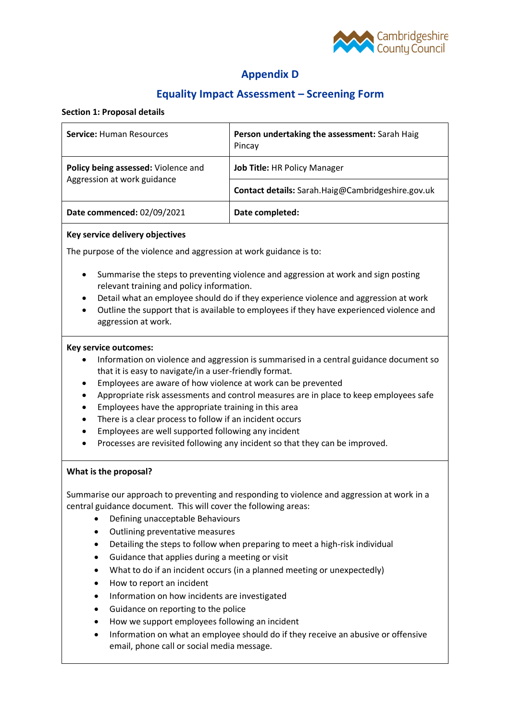

# **Appendix D**

# **Equality Impact Assessment – Screening Form**

## **Section 1: Proposal details**

| <b>Service: Human Resources</b>                                    | Person undertaking the assessment: Sarah Haig<br>Pincay |
|--------------------------------------------------------------------|---------------------------------------------------------|
| Policy being assessed: Violence and<br>Aggression at work guidance | Job Title: HR Policy Manager                            |
|                                                                    | Contact details: Sarah.Haig@Cambridgeshire.gov.uk       |
| Date commenced: 02/09/2021                                         | Date completed:                                         |

### **Key service delivery objectives**

The purpose of the violence and aggression at work guidance is to:

- Summarise the steps to preventing violence and aggression at work and sign posting relevant training and policy information.
- Detail what an employee should do if they experience violence and aggression at work
- Outline the support that is available to employees if they have experienced violence and aggression at work.

### **Key service outcomes:**

- Information on violence and aggression is summarised in a central guidance document so that it is easy to navigate/in a user-friendly format.
- Employees are aware of how violence at work can be prevented
- Appropriate risk assessments and control measures are in place to keep employees safe
- Employees have the appropriate training in this area
- There is a clear process to follow if an incident occurs
- Employees are well supported following any incident
- Processes are revisited following any incident so that they can be improved.

## **What is the proposal?**

Summarise our approach to preventing and responding to violence and aggression at work in a central guidance document. This will cover the following areas:

- Defining unacceptable Behaviours
- Outlining preventative measures
- Detailing the steps to follow when preparing to meet a high-risk individual
- Guidance that applies during a meeting or visit
- What to do if an incident occurs (in a planned meeting or unexpectedly)
- How to report an incident
- Information on how incidents are investigated
- Guidance on reporting to the police
- How we support employees following an incident
- Information on what an employee should do if they receive an abusive or offensive email, phone call or social media message.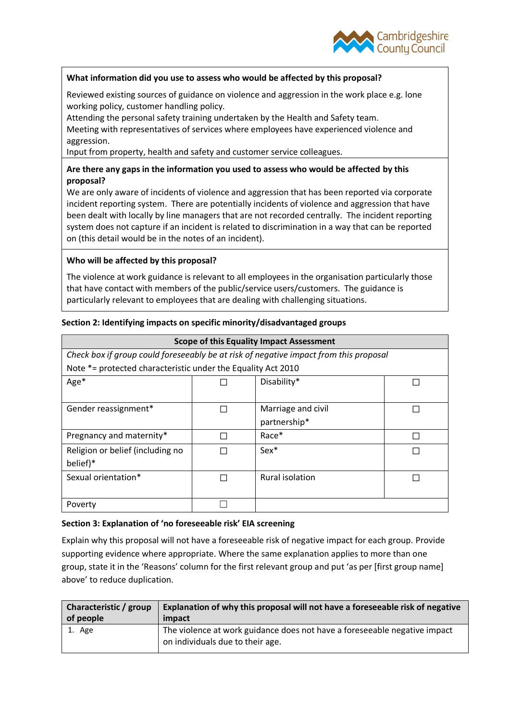

# **What information did you use to assess who would be affected by this proposal?**

Reviewed existing sources of guidance on violence and aggression in the work place e.g. lone working policy, customer handling policy.

Attending the personal safety training undertaken by the Health and Safety team. Meeting with representatives of services where employees have experienced violence and aggression.

Input from property, health and safety and customer service colleagues.

# **Are there any gaps in the information you used to assess who would be affected by this proposal?**

We are only aware of incidents of violence and aggression that has been reported via corporate incident reporting system. There are potentially incidents of violence and aggression that have been dealt with locally by line managers that are not recorded centrally. The incident reporting system does not capture if an incident is related to discrimination in a way that can be reported on (this detail would be in the notes of an incident).

# **Who will be affected by this proposal?**

The violence at work guidance is relevant to all employees in the organisation particularly those that have contact with members of the public/service users/customers. The guidance is particularly relevant to employees that are dealing with challenging situations.

# **Section 2: Identifying impacts on specific minority/disadvantaged groups**

| <b>Scope of this Equality Impact Assessment</b>                                       |  |                    |  |  |  |
|---------------------------------------------------------------------------------------|--|--------------------|--|--|--|
| Check box if group could foreseeably be at risk of negative impact from this proposal |  |                    |  |  |  |
| Note *= protected characteristic under the Equality Act 2010                          |  |                    |  |  |  |
| Age*                                                                                  |  | Disability*        |  |  |  |
|                                                                                       |  |                    |  |  |  |
| Gender reassignment*                                                                  |  | Marriage and civil |  |  |  |
|                                                                                       |  | partnership*       |  |  |  |
| Pregnancy and maternity*                                                              |  | Race*              |  |  |  |
| Religion or belief (including no                                                      |  | $Sex*$             |  |  |  |
| belief)*                                                                              |  |                    |  |  |  |
| Sexual orientation*                                                                   |  | Rural isolation    |  |  |  |
|                                                                                       |  |                    |  |  |  |
| Poverty                                                                               |  |                    |  |  |  |

## **Section 3: Explanation of 'no foreseeable risk' EIA screening**

Explain why this proposal will not have a foreseeable risk of negative impact for each group. Provide supporting evidence where appropriate. Where the same explanation applies to more than one group, state it in the 'Reasons' column for the first relevant group and put 'as per [first group name] above' to reduce duplication.

| Characteristic / group | Explanation of why this proposal will not have a foreseeable risk of negative                                 |
|------------------------|---------------------------------------------------------------------------------------------------------------|
| of people              | impact                                                                                                        |
| 1. Age                 | The violence at work guidance does not have a foreseeable negative impact<br>on individuals due to their age. |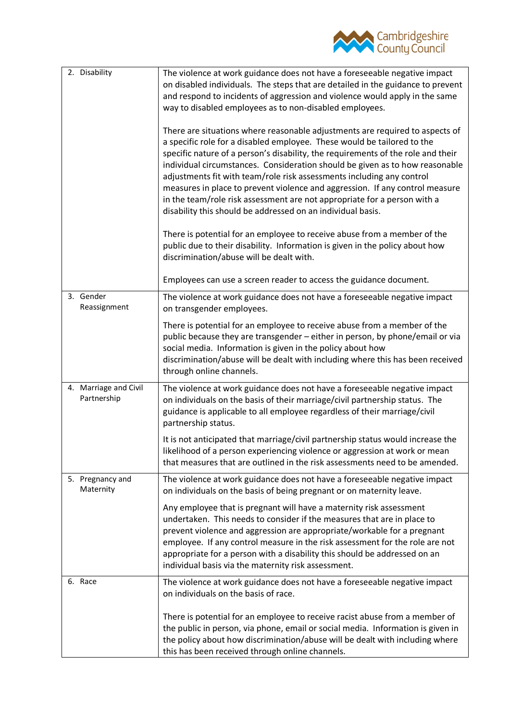

| 2. Disability                        | The violence at work guidance does not have a foreseeable negative impact<br>on disabled individuals. The steps that are detailed in the guidance to prevent<br>and respond to incidents of aggression and violence would apply in the same<br>way to disabled employees as to non-disabled employees.<br>There are situations where reasonable adjustments are required to aspects of<br>a specific role for a disabled employee. These would be tailored to the<br>specific nature of a person's disability, the requirements of the role and their<br>individual circumstances. Consideration should be given as to how reasonable<br>adjustments fit with team/role risk assessments including any control<br>measures in place to prevent violence and aggression. If any control measure<br>in the team/role risk assessment are not appropriate for a person with a<br>disability this should be addressed on an individual basis.<br>There is potential for an employee to receive abuse from a member of the<br>public due to their disability. Information is given in the policy about how<br>discrimination/abuse will be dealt with.<br>Employees can use a screen reader to access the guidance document. |
|--------------------------------------|-------------------------------------------------------------------------------------------------------------------------------------------------------------------------------------------------------------------------------------------------------------------------------------------------------------------------------------------------------------------------------------------------------------------------------------------------------------------------------------------------------------------------------------------------------------------------------------------------------------------------------------------------------------------------------------------------------------------------------------------------------------------------------------------------------------------------------------------------------------------------------------------------------------------------------------------------------------------------------------------------------------------------------------------------------------------------------------------------------------------------------------------------------------------------------------------------------------------------|
| 3. Gender<br>Reassignment            | The violence at work guidance does not have a foreseeable negative impact<br>on transgender employees.<br>There is potential for an employee to receive abuse from a member of the                                                                                                                                                                                                                                                                                                                                                                                                                                                                                                                                                                                                                                                                                                                                                                                                                                                                                                                                                                                                                                      |
|                                      | public because they are transgender - either in person, by phone/email or via<br>social media. Information is given in the policy about how<br>discrimination/abuse will be dealt with including where this has been received<br>through online channels.                                                                                                                                                                                                                                                                                                                                                                                                                                                                                                                                                                                                                                                                                                                                                                                                                                                                                                                                                               |
| 4. Marriage and Civil<br>Partnership | The violence at work guidance does not have a foreseeable negative impact<br>on individuals on the basis of their marriage/civil partnership status. The<br>guidance is applicable to all employee regardless of their marriage/civil<br>partnership status.                                                                                                                                                                                                                                                                                                                                                                                                                                                                                                                                                                                                                                                                                                                                                                                                                                                                                                                                                            |
|                                      | It is not anticipated that marriage/civil partnership status would increase the<br>likelihood of a person experiencing violence or aggression at work or mean<br>that measures that are outlined in the risk assessments need to be amended.                                                                                                                                                                                                                                                                                                                                                                                                                                                                                                                                                                                                                                                                                                                                                                                                                                                                                                                                                                            |
| 5. Pregnancy and<br>Maternity        | The violence at work guidance does not have a foreseeable negative impact<br>on individuals on the basis of being pregnant or on maternity leave.                                                                                                                                                                                                                                                                                                                                                                                                                                                                                                                                                                                                                                                                                                                                                                                                                                                                                                                                                                                                                                                                       |
|                                      | Any employee that is pregnant will have a maternity risk assessment<br>undertaken. This needs to consider if the measures that are in place to<br>prevent violence and aggression are appropriate/workable for a pregnant<br>employee. If any control measure in the risk assessment for the role are not<br>appropriate for a person with a disability this should be addressed on an<br>individual basis via the maternity risk assessment.                                                                                                                                                                                                                                                                                                                                                                                                                                                                                                                                                                                                                                                                                                                                                                           |
| 6. Race                              | The violence at work guidance does not have a foreseeable negative impact<br>on individuals on the basis of race.                                                                                                                                                                                                                                                                                                                                                                                                                                                                                                                                                                                                                                                                                                                                                                                                                                                                                                                                                                                                                                                                                                       |
|                                      | There is potential for an employee to receive racist abuse from a member of<br>the public in person, via phone, email or social media. Information is given in<br>the policy about how discrimination/abuse will be dealt with including where<br>this has been received through online channels.                                                                                                                                                                                                                                                                                                                                                                                                                                                                                                                                                                                                                                                                                                                                                                                                                                                                                                                       |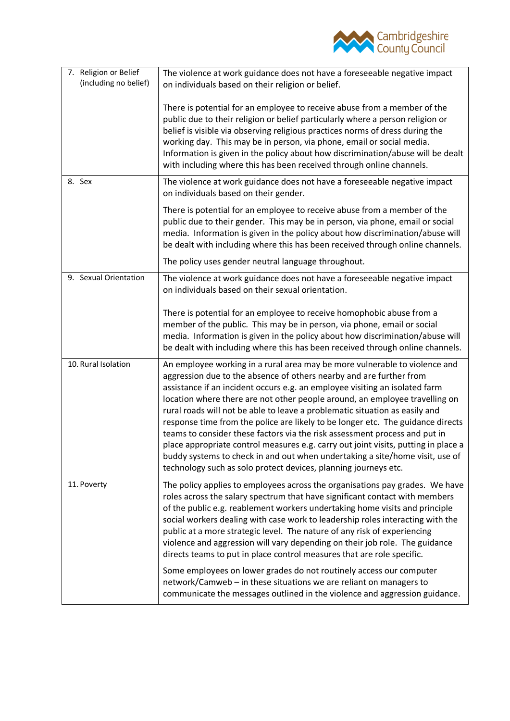

| 7. Religion or Belief<br>(including no belief) | The violence at work guidance does not have a foreseeable negative impact<br>on individuals based on their religion or belief.                                                                                                                                                                                                                                                                                                                                                                                                                                                                                                                                                                                                                                                                           |
|------------------------------------------------|----------------------------------------------------------------------------------------------------------------------------------------------------------------------------------------------------------------------------------------------------------------------------------------------------------------------------------------------------------------------------------------------------------------------------------------------------------------------------------------------------------------------------------------------------------------------------------------------------------------------------------------------------------------------------------------------------------------------------------------------------------------------------------------------------------|
|                                                | There is potential for an employee to receive abuse from a member of the<br>public due to their religion or belief particularly where a person religion or<br>belief is visible via observing religious practices norms of dress during the<br>working day. This may be in person, via phone, email or social media.<br>Information is given in the policy about how discrimination/abuse will be dealt<br>with including where this has been received through online channels.                                                                                                                                                                                                                                                                                                                          |
| 8. Sex                                         | The violence at work guidance does not have a foreseeable negative impact<br>on individuals based on their gender.                                                                                                                                                                                                                                                                                                                                                                                                                                                                                                                                                                                                                                                                                       |
|                                                | There is potential for an employee to receive abuse from a member of the<br>public due to their gender. This may be in person, via phone, email or social<br>media. Information is given in the policy about how discrimination/abuse will<br>be dealt with including where this has been received through online channels.                                                                                                                                                                                                                                                                                                                                                                                                                                                                              |
|                                                | The policy uses gender neutral language throughout.                                                                                                                                                                                                                                                                                                                                                                                                                                                                                                                                                                                                                                                                                                                                                      |
| 9. Sexual Orientation                          | The violence at work guidance does not have a foreseeable negative impact<br>on individuals based on their sexual orientation.                                                                                                                                                                                                                                                                                                                                                                                                                                                                                                                                                                                                                                                                           |
|                                                | There is potential for an employee to receive homophobic abuse from a<br>member of the public. This may be in person, via phone, email or social<br>media. Information is given in the policy about how discrimination/abuse will<br>be dealt with including where this has been received through online channels.                                                                                                                                                                                                                                                                                                                                                                                                                                                                                       |
| 10. Rural Isolation                            | An employee working in a rural area may be more vulnerable to violence and<br>aggression due to the absence of others nearby and are further from<br>assistance if an incident occurs e.g. an employee visiting an isolated farm<br>location where there are not other people around, an employee travelling on<br>rural roads will not be able to leave a problematic situation as easily and<br>response time from the police are likely to be longer etc. The guidance directs<br>teams to consider these factors via the risk assessment process and put in<br>place appropriate control measures e.g. carry out joint visits, putting in place a<br>buddy systems to check in and out when undertaking a site/home visit, use of<br>technology such as solo protect devices, planning journeys etc. |
| 11. Poverty                                    | The policy applies to employees across the organisations pay grades. We have<br>roles across the salary spectrum that have significant contact with members<br>of the public e.g. reablement workers undertaking home visits and principle<br>social workers dealing with case work to leadership roles interacting with the<br>public at a more strategic level. The nature of any risk of experiencing<br>violence and aggression will vary depending on their job role. The guidance<br>directs teams to put in place control measures that are role specific.                                                                                                                                                                                                                                        |
|                                                | Some employees on lower grades do not routinely access our computer<br>network/Camweb - in these situations we are reliant on managers to<br>communicate the messages outlined in the violence and aggression guidance.                                                                                                                                                                                                                                                                                                                                                                                                                                                                                                                                                                                  |